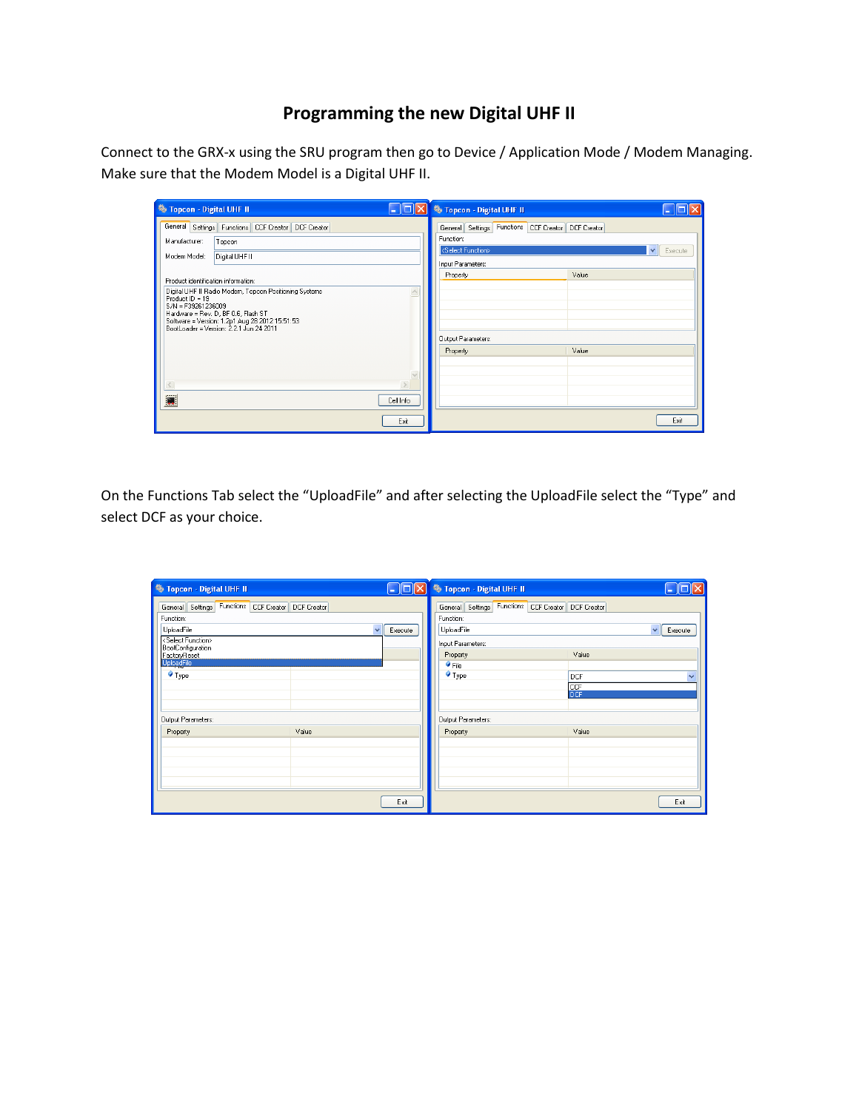## **Programming the new Digital UHF II**

Connect to the GRX-x using the SRU program then go to Device / Application Mode / Modem Managing. Make sure that the Modem Model is a Digital UHF II.

| <b>卷 Topcon - Digital UHF II</b>                                                                                                                                                                                                                                           | 卷 Topcon - Digital UHF II<br>e je                                                                                                                                                     |
|----------------------------------------------------------------------------------------------------------------------------------------------------------------------------------------------------------------------------------------------------------------------------|---------------------------------------------------------------------------------------------------------------------------------------------------------------------------------------|
| General   Settings   Functions   CCF Creator   DCF Creator<br>Manufacturer:<br>Topcon<br>Modem Model:<br>Digital UHF II                                                                                                                                                    | General Settings Functions CCF Creator DCF Creator<br>Function:<br><select function=""><br/><math>\checkmark</math><br/>Execute<br/>Input Parameters:<br/>Value<br/>Property</select> |
| Product identification information:<br>Digital UHF II Radio Modem, Topcon Positioning Systems<br>Product ID = 19<br>S/N = F39261236009<br>Hardware = Rev. D, BF 0.6, Flash ST<br>Software = Version: 1.2p1 Aug 28 2012 15:51:53<br>BootLoader = Version: 2.2.1 Jun 24 2011 | Output Parameters:                                                                                                                                                                    |
| $\leq$<br>Cell Info                                                                                                                                                                                                                                                        | Property<br>Value                                                                                                                                                                     |
| Exit                                                                                                                                                                                                                                                                       | Exit                                                                                                                                                                                  |

On the Functions Tab select the "UploadFile" and after selecting the UploadFile select the "Type" and select DCF as your choice.

| <b><sup>5</sup></b> Topcon - Digital UHF II                          | $\Box$ e                | 卷 Topcon - Digital UHF II                                       |                   |                         |
|----------------------------------------------------------------------|-------------------------|-----------------------------------------------------------------|-------------------|-------------------------|
| General Settings Functions CCF Creator DCF Creator<br>Function:      |                         | General Settings Functions CCF Creator DCF Creator<br>Function: |                   |                         |
| UploadFile                                                           | $\checkmark$<br>Execute | UploadFile                                                      |                   | $\checkmark$<br>Execute |
| <select function=""><br/>BootConfiguration<br/>FactoryReset</select> |                         | Input Parameters:<br>Property                                   | Value             |                         |
| <b>UploadFile</b><br>$\blacklozenge$ Type                            |                         | $\bullet$ File<br>$\blacktriangledown$ Type                     | DCF               | $\checkmark$            |
|                                                                      |                         |                                                                 | CCF<br><b>DCF</b> |                         |
| Output Parameters:                                                   |                         | Output Parameters:                                              |                   |                         |
| Value<br>Property                                                    |                         | Property                                                        | Value             |                         |
|                                                                      |                         |                                                                 |                   |                         |
|                                                                      |                         |                                                                 |                   |                         |
|                                                                      | Exit                    |                                                                 |                   | Exit                    |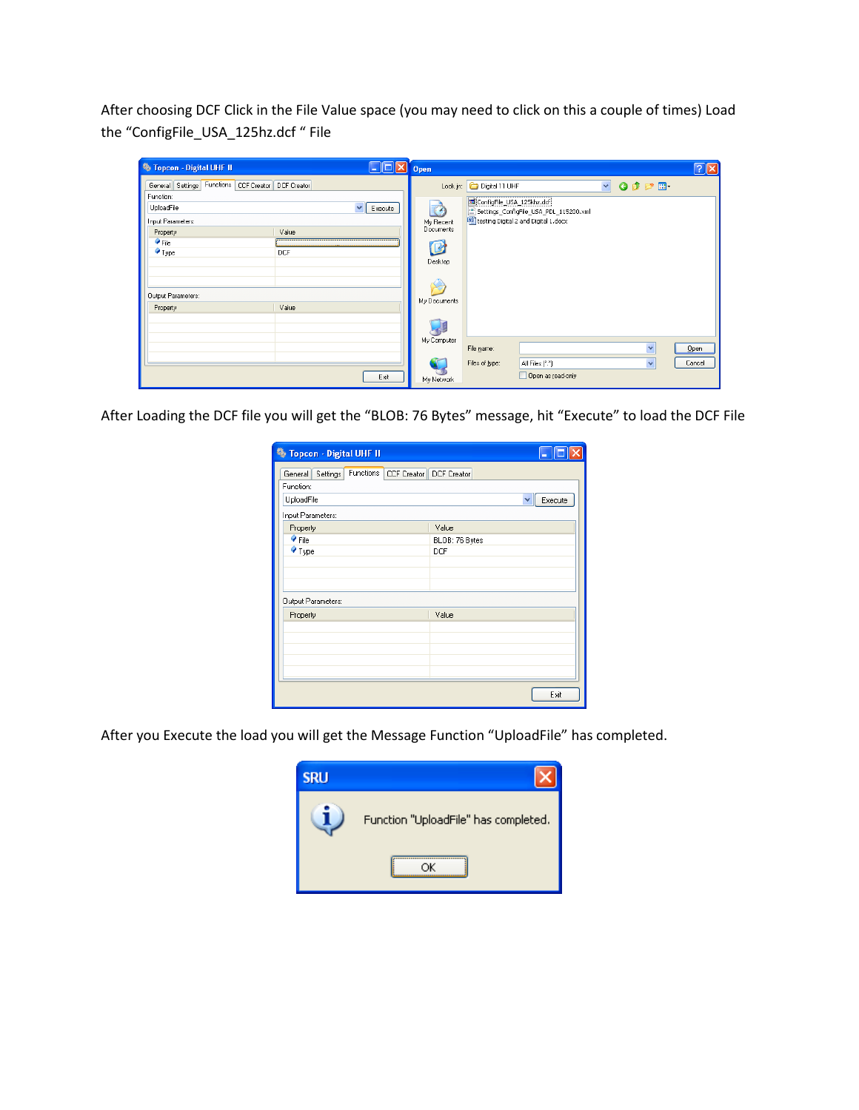After choosing DCF Click in the File Value space (you may need to click on this a couple of times) Load the "ConfigFile\_USA\_125hz.dcf " File

| <b>卷 Topcon - Digital UHF II</b>                   |            | $\Box$ d $\Box$         | Open                      |                           |                                                                                |              |                         |                 | $\boxed{2}$ $\boxed{2}$ |
|----------------------------------------------------|------------|-------------------------|---------------------------|---------------------------|--------------------------------------------------------------------------------|--------------|-------------------------|-----------------|-------------------------|
| General Settings Functions CCF Creator DCF Creator |            |                         |                           | Look in: Digital 11 UHF   |                                                                                | $\checkmark$ |                         | $O$ $D$ $D$ $E$ |                         |
| Function:<br>UploadFile                            |            | Execute<br>$\checkmark$ |                           | ConfigFile_USA_125khz.dcf |                                                                                |              |                         |                 |                         |
| Input Parameters:                                  |            |                         | $\mathbb{Z}$<br>My Recent |                           | Settings_ConfigFile_USA_PDL_115200.xml<br>testing Digital 2 and Digital 1.docx |              |                         |                 |                         |
| Property                                           | Value      |                         | Documents                 |                           |                                                                                |              |                         |                 |                         |
| $\bullet$ File                                     |            |                         | C                         |                           |                                                                                |              |                         |                 |                         |
| $\bullet$ Type                                     | <b>DCF</b> |                         | Desktop                   |                           |                                                                                |              |                         |                 |                         |
|                                                    |            |                         |                           |                           |                                                                                |              |                         |                 |                         |
|                                                    |            |                         | Ń                         |                           |                                                                                |              |                         |                 |                         |
| Output Parameters:                                 |            |                         | My Documents              |                           |                                                                                |              |                         |                 |                         |
| Property                                           | Value      |                         |                           |                           |                                                                                |              |                         |                 |                         |
|                                                    |            |                         |                           |                           |                                                                                |              |                         |                 |                         |
|                                                    |            |                         | My Computer               |                           |                                                                                |              |                         |                 |                         |
|                                                    |            |                         |                           | File name:                |                                                                                |              | $\overline{\mathbf{v}}$ |                 | $Q$ pen                 |
|                                                    |            |                         |                           | Files of type:            | All Files ["."]                                                                |              | $\checkmark$            |                 | Cancel                  |
|                                                    |            | Exit                    | My Network                |                           | $\Box$ Open as read-only                                                       |              |                         |                 |                         |

After Loading the DCF file you will get the "BLOB: 76 Bytes" message, hit "Execute" to load the DCF File

| <b><sup>5</sup> Topcon - Digital UHF II</b> |                                       |                |              |
|---------------------------------------------|---------------------------------------|----------------|--------------|
| General Settings<br>Function:               | Functions   CCF Creator   DCF Creator |                |              |
| UploadFile                                  |                                       |                | Execute<br>v |
| Input Parameters:                           |                                       |                |              |
| Property                                    |                                       | Value          |              |
| $\bullet$ File                              |                                       | BLOB: 76 Bytes |              |
| $\blacklozenge$ Type                        |                                       | DCF            |              |
|                                             |                                       |                |              |
|                                             |                                       |                |              |
|                                             |                                       |                |              |
| Output Parameters:                          |                                       |                |              |
| Property                                    |                                       | Value          |              |
|                                             |                                       |                |              |
|                                             |                                       |                |              |
|                                             |                                       |                |              |
|                                             |                                       |                |              |
|                                             |                                       |                |              |
|                                             |                                       |                | Exit         |

After you Execute the load you will get the Message Function "UploadFile" has completed.

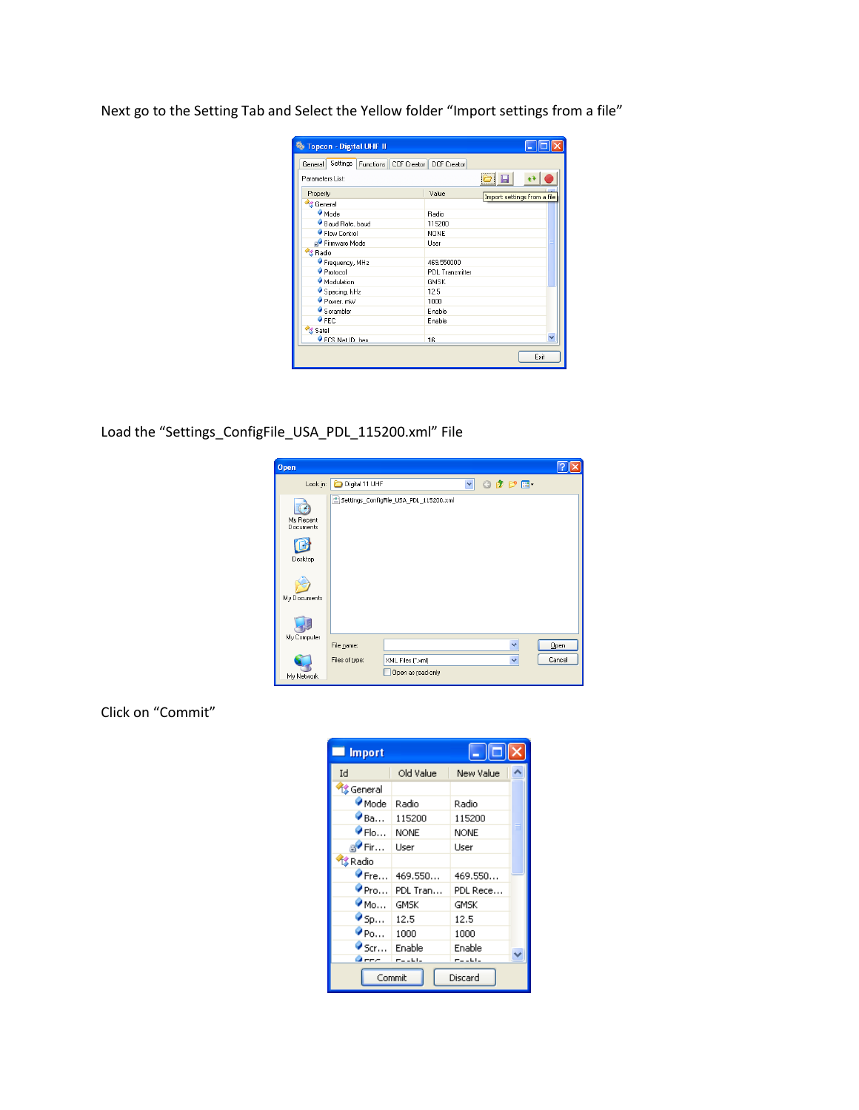Next go to the Setting Tab and Select the Yellow folder "Import settings from a file"

| <b><sup>5</sup> Topcon - Digital UHF II</b>                 |                                      |      |
|-------------------------------------------------------------|--------------------------------------|------|
| Settings   Functions   CCF Creator   DCF Creator<br>General |                                      |      |
| Parameters List:                                            | $\Theta$                             |      |
| Property                                                    | Value<br>Import settings from a file |      |
| <b><i><u>Comeral</u></i></b>                                |                                      |      |
| Mode                                                        | Radio                                |      |
| Baud Rate, baud                                             | 115200                               |      |
| ● Flow Control                                              | NONE                                 |      |
| Firmware Mode                                               | User                                 |      |
| <sup>1</sup> Radio                                          |                                      |      |
| Frequency, MHz                                              | 469.550000                           |      |
| Protocol                                                    | PDL Transmitter                      |      |
| Modulation                                                  | <b>GMSK</b>                          |      |
| Spacing, kHz                                                | 12.5                                 |      |
| Power, mW                                                   | 1000                                 |      |
| Scrambler                                                   | Enable                               |      |
| $\bullet$ FEC                                               | Enable                               |      |
| <b>IS</b> Satel                                             |                                      |      |
| FCS Net ID hex                                              | 16                                   |      |
|                                                             |                                      | Exit |

Load the "Settings\_ConfigFile\_USA\_PDL\_115200.xml" File

| <b>Open</b>                       |                |                                        |   |                     |         |
|-----------------------------------|----------------|----------------------------------------|---|---------------------|---------|
| Look in:                          | Digital 11 UHF |                                        | Y | $0$ $0$ $0$ $0$ $0$ |         |
| My Recent<br>Documents<br>Desktop |                | Settings_ConfigFile_USA_PDL_115200.xml |   |                     |         |
| My Documents                      |                |                                        |   |                     |         |
| My Computer                       | File name:     |                                        |   | Ÿ                   | $Q$ pen |
| My Network                        | Files of type: | XML Files (".xml)<br>Open as read-only |   | $\ddotmark$         | Cancel  |

Click on "Commit"

| <b>Import</b>                    |               | $\left\  \_\right\  \square \ \mathsf{x}\right\ $ |  |  |
|----------------------------------|---------------|---------------------------------------------------|--|--|
| Id                               | Old Value     | New Value                                         |  |  |
| <mark>後</mark> General           |               |                                                   |  |  |
| Mode                             | Radio         | Radio                                             |  |  |
| $\bullet$ Ba                     | 115200        | 115200                                            |  |  |
| $\triangledown$ Flo              | <b>NONE</b>   | <b>NONE</b>                                       |  |  |
| a <sup>v</sup> Fir…              | User          | Liser                                             |  |  |
| <b>K</b> Radio                   |               |                                                   |  |  |
| $\triangledown$ Fre              | 469.550       | 469.550                                           |  |  |
| $\bullet$ Pro                    | PDL Tran      | PDL Rece                                          |  |  |
| $\bullet$ Mo                     | GMSK          | GMSK                                              |  |  |
| $\bullet$ Sp                     | 12.5          | 12.5                                              |  |  |
| $\mathbf{\bullet}_{\mathsf{Po}}$ | 1000          | 1000                                              |  |  |
| $\bullet$ Scr                    | Enable        | Enable                                            |  |  |
| Осег                             | $- - - - - -$ | $T = -11$                                         |  |  |
| Commit<br>Discard                |               |                                                   |  |  |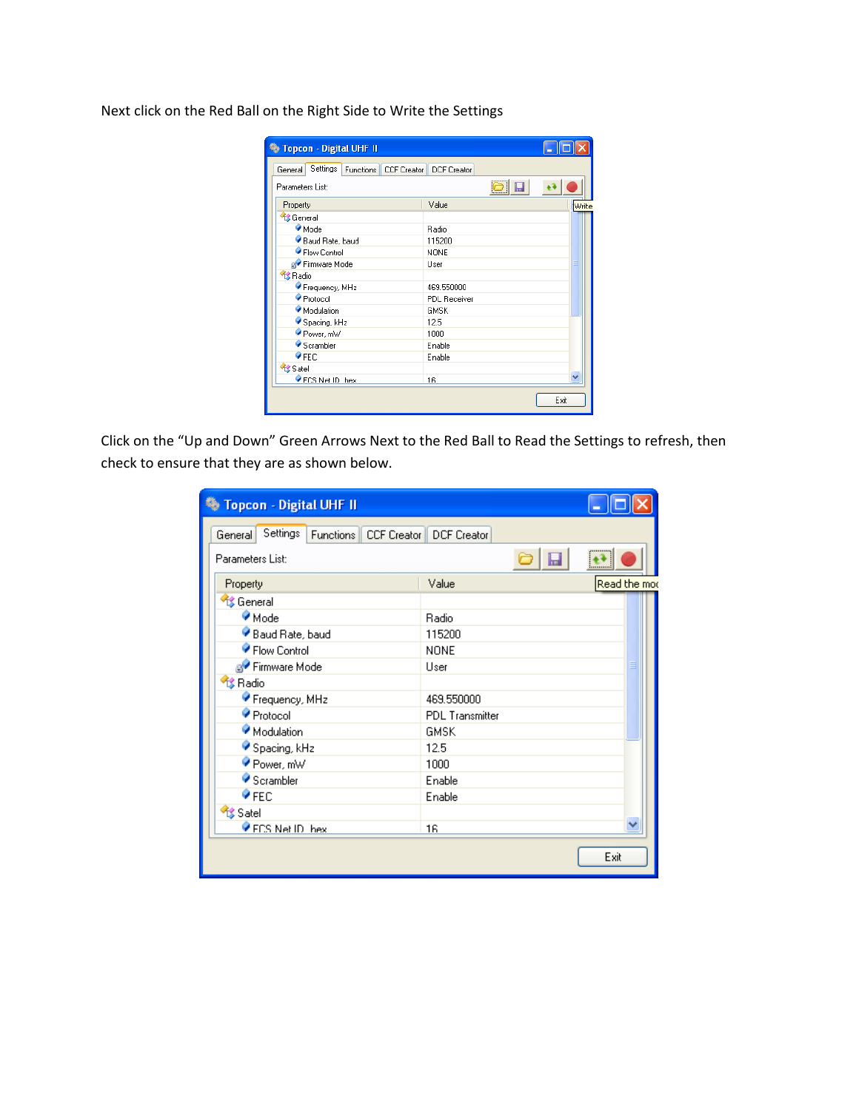| Settings   Functions   CCF Creator   DCF Creator<br>General |                                         |       |
|-------------------------------------------------------------|-----------------------------------------|-------|
| Parameters List:                                            | $\boxed{\textcirc}$ $\boxed{\textcirc}$ |       |
| Property                                                    | Value                                   | Write |
| <sup>6</sup> General                                        |                                         |       |
| Mode                                                        | Radio                                   |       |
| Baud Rate, baud                                             | 115200                                  |       |
| ● Flow Control                                              | <b>NONE</b>                             |       |
| <b>B</b> Firmware Mode                                      | User                                    |       |
| <b>XX Radio</b>                                             |                                         |       |
| Frequency, MHz                                              | 469.550000                              |       |
| Protocol                                                    | <b>PDL Receiver</b>                     |       |
| Modulation                                                  | <b>GMSK</b>                             |       |
| Spacing, kHz                                                | 12.5                                    |       |
| Power, mW                                                   | 1000                                    |       |
| $\bullet$ Scrambler                                         | Enable                                  |       |
| $\bullet$ FEC                                               | Enable                                  |       |
| Satel                                                       |                                         |       |
| FCS Net ID hex                                              | 16                                      |       |

Next click on the Red Ball on the Right Side to Write the Settings

Click on the "Up and Down" Green Arrows Next to the Red Ball to Read the Settings to refresh, then check to ensure that they are as shown below.

| 卷 Topcon - Digital UHF II                         |                        |              |
|---------------------------------------------------|------------------------|--------------|
| Settings<br>Functions   CCF Creator   <br>General | <b>DCF</b> Creator     |              |
| Parameters List:                                  |                        | ,,,,,,,,,,,  |
| Property                                          | Value                  | Read the mod |
| <b>修 General</b>                                  |                        |              |
| Mode                                              | Radio                  |              |
| Baud Rate, baud                                   | 115200                 |              |
| ● Flow Control                                    | NONE                   |              |
| a <sup>√</sup> Firmware Mode                      | User                   |              |
| <b>卷 Radio</b>                                    |                        |              |
| Frequency, MHz                                    | 469.550000             |              |
| Protocol                                          | <b>PDL</b> Transmitter |              |
| Modulation                                        | <b>GMSK</b>            |              |
| Spacing, kHz                                      | 12.5                   |              |
| Power, mW                                         | 1000                   |              |
| Scrambler                                         | Enable                 |              |
| $\bullet$ FEC                                     | Enable                 |              |
| Satel                                             |                        |              |
| FCS Net ID hex                                    | 16                     |              |
|                                                   |                        | Exit         |